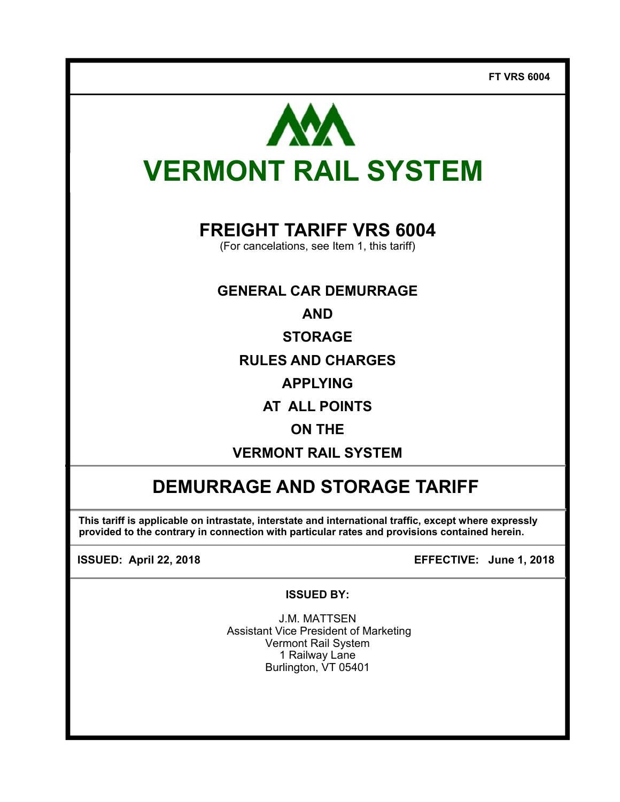

# **FREIGHT TARIFF VRS 6004**

(For cancelations, see Item 1, this tariff)

# **GENERAL CAR DEMURRAGE**

**AND** 

**STORAGE** 

**RULES AND CHARGES** 

**APPLYING** 

**AT ALL POINTS** 

# **ON THE**

**VERMONT RAIL SYSTEM** 

# **DEMURRAGE AND STORAGE TARIFF**

**This tariff is applicable on intrastate, interstate and international traffic, except where expressly provided to the contrary in connection with particular rates and provisions contained herein.** 

 $\overline{\phantom{a}}$ 

**ISSUED: April 22, 2018 EFFECTIVE: June 1, 2018**

#### **ISSUED BY:**

J.M. MATTSEN Assistant Vice President of Marketing Vermont Rail System 1 Railway Lane Burlington, VT 05401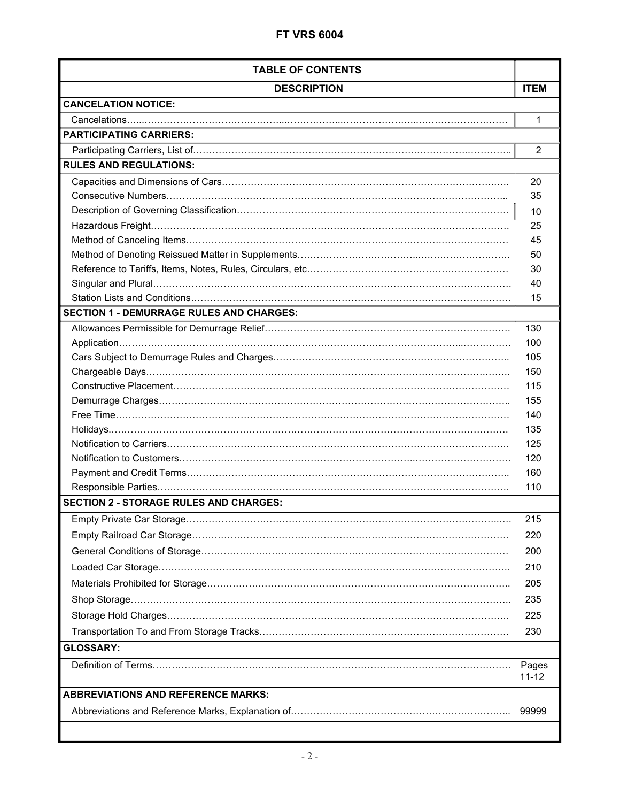| <b>TABLE OF CONTENTS</b>                        |                    |  |
|-------------------------------------------------|--------------------|--|
| <b>DESCRIPTION</b>                              | <b>ITEM</b>        |  |
| <b>CANCELATION NOTICE:</b>                      |                    |  |
|                                                 | 1                  |  |
| <b>PARTICIPATING CARRIERS:</b>                  |                    |  |
|                                                 | $\overline{2}$     |  |
| <b>RULES AND REGULATIONS:</b>                   |                    |  |
|                                                 | 20                 |  |
|                                                 | 35                 |  |
|                                                 | 10                 |  |
|                                                 | 25                 |  |
|                                                 | 45                 |  |
|                                                 | 50                 |  |
|                                                 | 30                 |  |
|                                                 | 40                 |  |
|                                                 | 15                 |  |
| <b>SECTION 1 - DEMURRAGE RULES AND CHARGES:</b> |                    |  |
|                                                 | 130                |  |
|                                                 | 100                |  |
|                                                 | 105                |  |
|                                                 | 150                |  |
|                                                 | 115                |  |
|                                                 | 155                |  |
|                                                 | 140                |  |
|                                                 | 135                |  |
|                                                 | 125<br>120         |  |
|                                                 | 160                |  |
|                                                 | 110                |  |
| <b>SECTION 2 - STORAGE RULES AND CHARGES:</b>   |                    |  |
|                                                 |                    |  |
|                                                 | 215                |  |
|                                                 | 220                |  |
|                                                 | 200                |  |
|                                                 | 210                |  |
|                                                 | 205                |  |
|                                                 | 235                |  |
|                                                 | 225                |  |
|                                                 | 230                |  |
| <b>GLOSSARY:</b>                                |                    |  |
|                                                 | Pages<br>$11 - 12$ |  |
| <b>ABBREVIATIONS AND REFERENCE MARKS:</b>       |                    |  |
| 99999                                           |                    |  |
|                                                 |                    |  |
|                                                 |                    |  |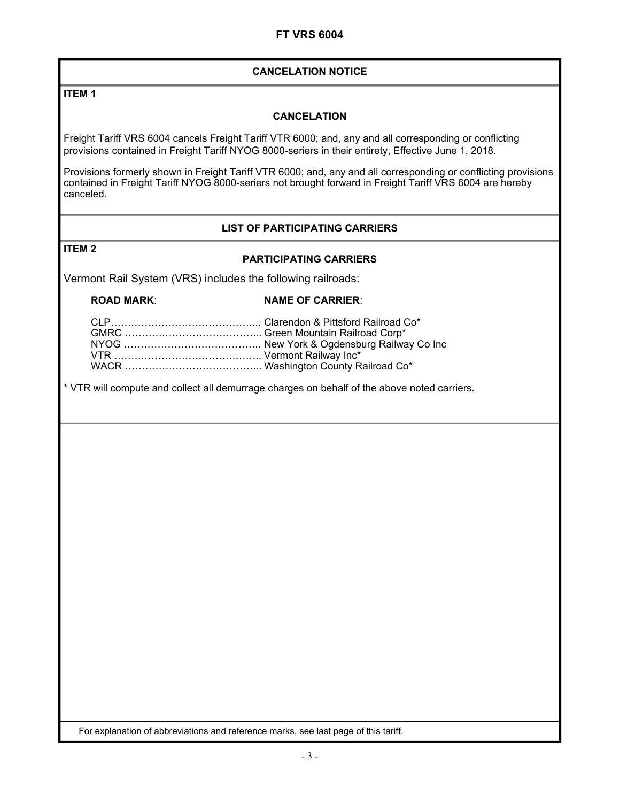#### **CANCELATION NOTICE**

**ITEM 1** 

#### **CANCELATION**

Freight Tariff VRS 6004 cancels Freight Tariff VTR 6000; and, any and all corresponding or conflicting provisions contained in Freight Tariff NYOG 8000-seriers in their entirety, Effective June 1, 2018.

Provisions formerly shown in Freight Tariff VTR 6000; and, any and all corresponding or conflicting provisions contained in Freight Tariff NYOG 8000-seriers not brought forward in Freight Tariff VRS 6004 are hereby canceled.

#### **LIST OF PARTICIPATING CARRIERS**

#### **ITEM 2**

#### **PARTICIPATING CARRIERS**

Vermont Rail System (VRS) includes the following railroads:

#### **ROAD MARK: NAME OF CARRIER:**

\* VTR will compute and collect all demurrage charges on behalf of the above noted carriers.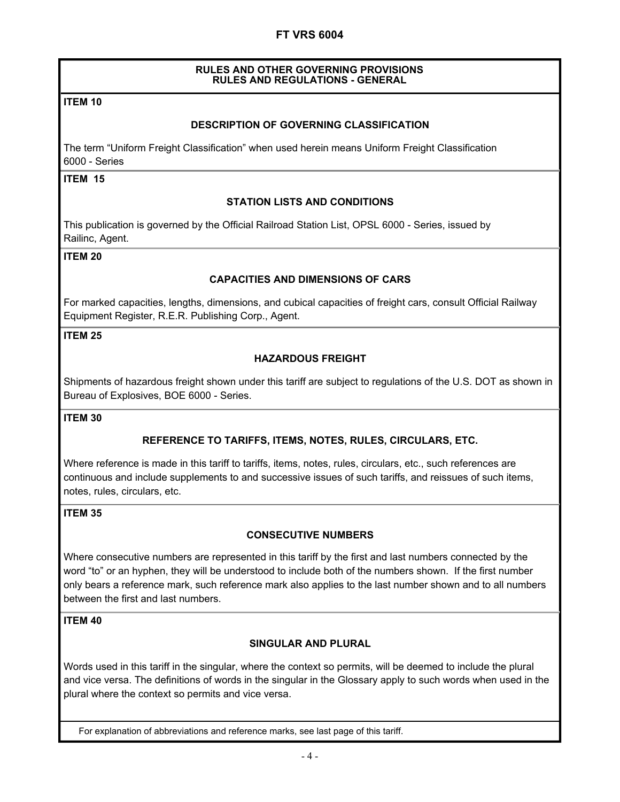#### **RULES AND OTHER GOVERNING PROVISIONS RULES AND REGULATIONS - GENERAL**

#### **ITEM 10**

#### **DESCRIPTION OF GOVERNING CLASSIFICATION**

The term "Uniform Freight Classification" when used herein means Uniform Freight Classification 6000 - Series

### **ITEM 15**

#### **STATION LISTS AND CONDITIONS**

This publication is governed by the Official Railroad Station List, OPSL 6000 - Series, issued by Railinc, Agent.

#### **ITEM 20**

#### **CAPACITIES AND DIMENSIONS OF CARS**

For marked capacities, lengths, dimensions, and cubical capacities of freight cars, consult Official Railway Equipment Register, R.E.R. Publishing Corp., Agent.

#### **ITEM 25**

#### **HAZARDOUS FREIGHT**

Shipments of hazardous freight shown under this tariff are subject to regulations of the U.S. DOT as shown in Bureau of Explosives, BOE 6000 - Series.

#### **ITEM 30**

#### **REFERENCE TO TARIFFS, ITEMS, NOTES, RULES, CIRCULARS, ETC.**

Where reference is made in this tariff to tariffs, items, notes, rules, circulars, etc., such references are continuous and include supplements to and successive issues of such tariffs, and reissues of such items, notes, rules, circulars, etc.

#### **ITEM 35**

#### **CONSECUTIVE NUMBERS**

Where consecutive numbers are represented in this tariff by the first and last numbers connected by the word "to" or an hyphen, they will be understood to include both of the numbers shown. If the first number only bears a reference mark, such reference mark also applies to the last number shown and to all numbers between the first and last numbers.

#### **ITEM 40**

#### **SINGULAR AND PLURAL**

Words used in this tariff in the singular, where the context so permits, will be deemed to include the plural and vice versa. The definitions of words in the singular in the Glossary apply to such words when used in the plural where the context so permits and vice versa.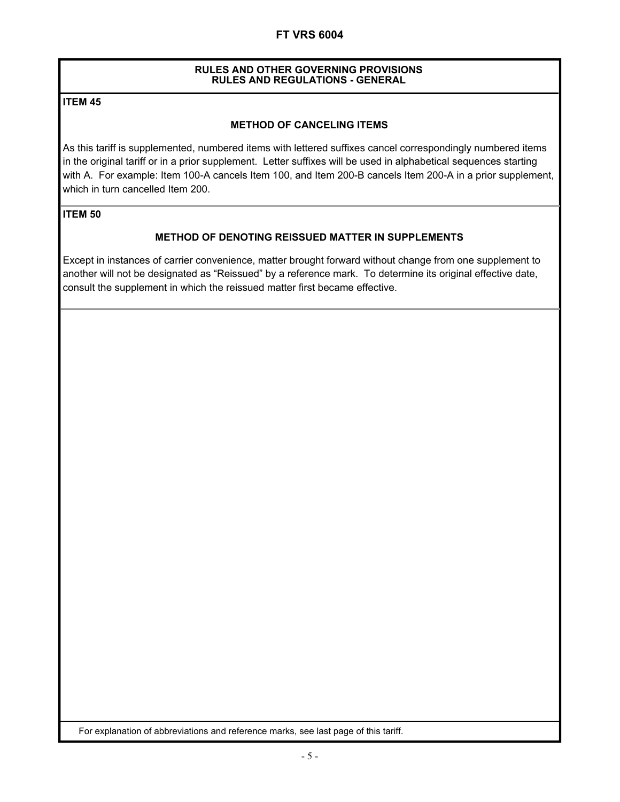#### **RULES AND OTHER GOVERNING PROVISIONS RULES AND REGULATIONS - GENERAL**

#### **ITEM 45**

#### **METHOD OF CANCELING ITEMS**

As this tariff is supplemented, numbered items with lettered suffixes cancel correspondingly numbered items in the original tariff or in a prior supplement. Letter suffixes will be used in alphabetical sequences starting with A. For example: Item 100-A cancels Item 100, and Item 200-B cancels Item 200-A in a prior supplement, which in turn cancelled Item 200.

#### **ITEM 50**

#### **METHOD OF DENOTING REISSUED MATTER IN SUPPLEMENTS**

Except in instances of carrier convenience, matter brought forward without change from one supplement to another will not be designated as "Reissued" by a reference mark. To determine its original effective date, consult the supplement in which the reissued matter first became effective.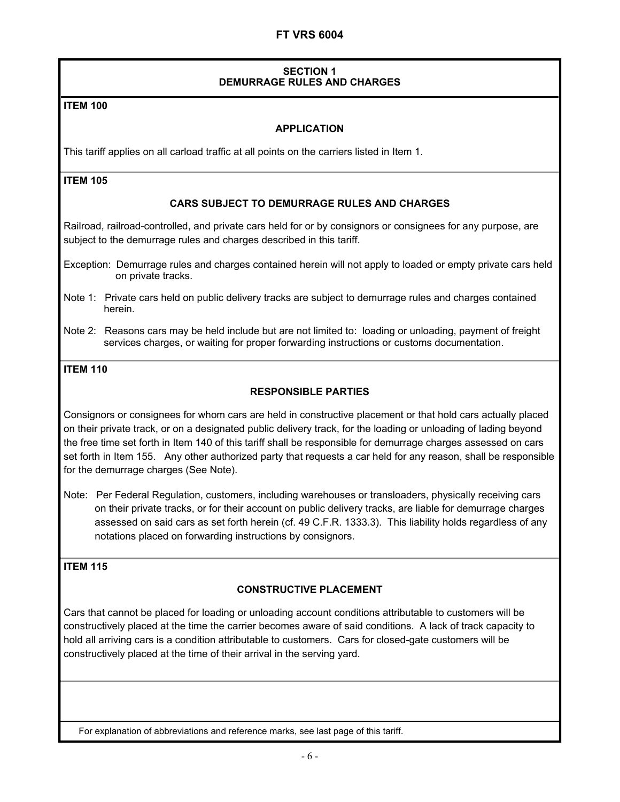#### **SECTION 1 DEMURRAGE RULES AND CHARGES**

#### **ITEM 100**

#### **APPLICATION**

This tariff applies on all carload traffic at all points on the carriers listed in Item 1.

#### **ITEM 105**

#### **CARS SUBJECT TO DEMURRAGE RULES AND CHARGES**

Railroad, railroad-controlled, and private cars held for or by consignors or consignees for any purpose, are subject to the demurrage rules and charges described in this tariff.

Exception: Demurrage rules and charges contained herein will not apply to loaded or empty private cars held on private tracks.

- Note 1: Private cars held on public delivery tracks are subject to demurrage rules and charges contained herein.
- Note 2: Reasons cars may be held include but are not limited to: loading or unloading, payment of freight services charges, or waiting for proper forwarding instructions or customs documentation.

#### **ITEM 110**

#### **RESPONSIBLE PARTIES**

Consignors or consignees for whom cars are held in constructive placement or that hold cars actually placed on their private track, or on a designated public delivery track, for the loading or unloading of lading beyond the free time set forth in Item 140 of this tariff shall be responsible for demurrage charges assessed on cars set forth in Item 155. Any other authorized party that requests a car held for any reason, shall be responsible for the demurrage charges (See Note).

Note: Per Federal Regulation, customers, including warehouses or transloaders, physically receiving cars on their private tracks, or for their account on public delivery tracks, are liable for demurrage charges assessed on said cars as set forth herein (cf. 49 C.F.R. 1333.3). This liability holds regardless of any notations placed on forwarding instructions by consignors.

#### **ITEM 115**

#### **CONSTRUCTIVE PLACEMENT**

Cars that cannot be placed for loading or unloading account conditions attributable to customers will be constructively placed at the time the carrier becomes aware of said conditions. A lack of track capacity to hold all arriving cars is a condition attributable to customers. Cars for closed-gate customers will be constructively placed at the time of their arrival in the serving yard.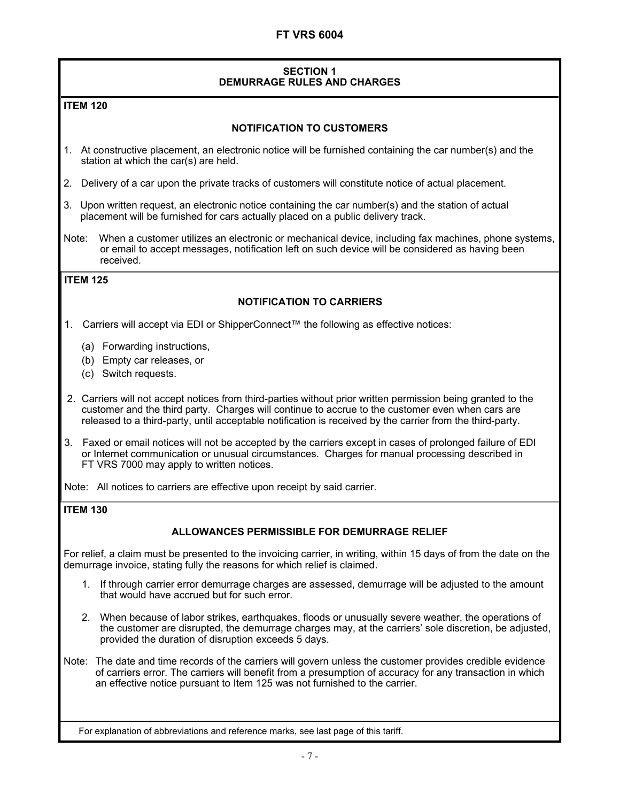#### **SECTION 1 DEMURRAGE RULES AND CHARGES**

#### **ITEM 120**

#### **NOTIFICATION TO CUSTOMERS**

- 1. At constructive placement, an electronic notice will be furnished containing the car number(s) and the station at which the car(s) are held.
- 2. Delivery of a car upon the private tracks of customers will constitute notice of actual placement.
- 3. Upon written request, an electronic notice containing the car number(s) and the station of actual placement will be furnished for cars actually placed on a public delivery track.
- Note: When a customer utilizes an electronic or mechanical device, including fax machines, phone systems, or email to accept messages, notification left on such device will be considered as having been received.

#### **ITEM 125**

#### **NOTIFICATION TO CARRIERS**

1. Carriers will accept via EDI or ShipperConnect™ the following as effective notices:

- (a) Forwarding instructions,
- (b) Empty car releases, or
- (c) Switch requests.
- 2. Carriers will not accept notices from third-parties without prior written permission being granted to the customer and the third party. Charges will continue to accrue to the customer even when cars are released to a third-party, until acceptable notification is received by the carrier from the third-party.
- 3. Faxed or email notices will not be accepted by the carriers except in cases of prolonged failure of EDI or Internet communication or unusual circumstances. Charges for manual processing described in FT VRS 7000 may apply to written notices.

Note: All notices to carriers are effective upon receipt by said carrier.

#### **ITEM 130**

#### **ALLOWANCES PERMISSIBLE FOR DEMURRAGE RELIEF**

For relief, a claim must be presented to the invoicing carrier, in writing, within 15 days of from the date on the demurrage invoice, stating fully the reasons for which relief is claimed.

- 1. If through carrier error demurrage charges are assessed, demurrage will be adjusted to the amount that would have accrued but for such error.
- 2. When because of labor strikes, earthquakes, floods or unusually severe weather, the operations of the customer are disrupted, the demurrage charges may, at the carriers' sole discretion, be adjusted, provided the duration of disruption exceeds 5 days.
- Note: The date and time records of the carriers will govern unless the customer provides credible evidence of carriers error. The carriers will benefit from a presumption of accuracy for any transaction in which an effective notice pursuant to Item 125 was not furnished to the carrier.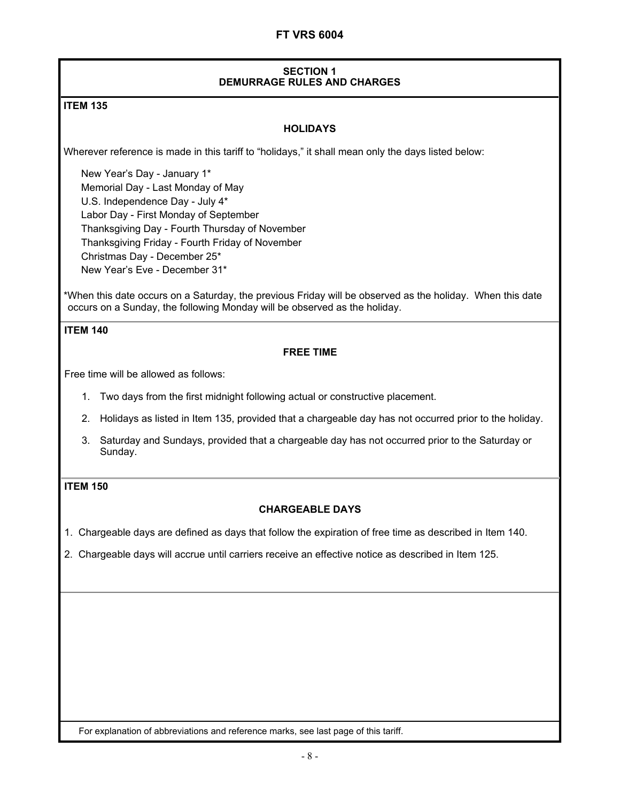#### **SECTION 1 DEMURRAGE RULES AND CHARGES**

#### **ITEM 135**

#### **HOLIDAYS**

Wherever reference is made in this tariff to "holidays," it shall mean only the days listed below:

New Year's Day - January 1\* Memorial Day - Last Monday of May U.S. Independence Day - July 4\* Labor Day - First Monday of September Thanksgiving Day - Fourth Thursday of November Thanksgiving Friday - Fourth Friday of November Christmas Day - December 25\* New Year's Eve - December 31\*

\*When this date occurs on a Saturday, the previous Friday will be observed as the holiday. When this date occurs on a Sunday, the following Monday will be observed as the holiday.

#### **ITEM 140**

#### **FREE TIME**

Free time will be allowed as follows:

- 1. Two days from the first midnight following actual or constructive placement.
- 2. Holidays as listed in Item 135, provided that a chargeable day has not occurred prior to the holiday.
- 3. Saturday and Sundays, provided that a chargeable day has not occurred prior to the Saturday or Sunday.

#### **ITEM 150**

#### **CHARGEABLE DAYS**

1. Chargeable days are defined as days that follow the expiration of free time as described in Item 140.

2. Chargeable days will accrue until carriers receive an effective notice as described in Item 125.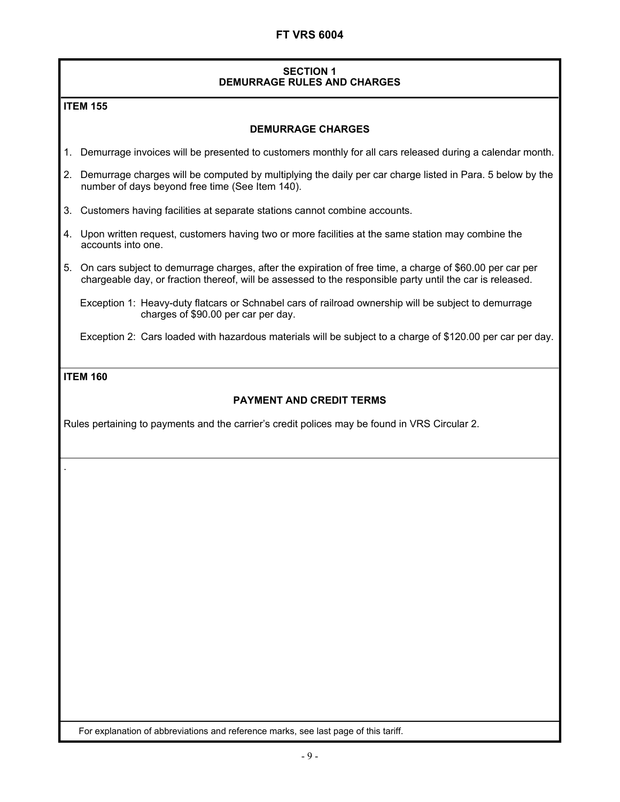#### **SECTION 1 DEMURRAGE RULES AND CHARGES**

#### **ITEM 155**

#### **DEMURRAGE CHARGES**

- 1. Demurrage invoices will be presented to customers monthly for all cars released during a calendar month.
- 2. Demurrage charges will be computed by multiplying the daily per car charge listed in Para. 5 below by the number of days beyond free time (See Item 140).
- 3. Customers having facilities at separate stations cannot combine accounts.
- 4. Upon written request, customers having two or more facilities at the same station may combine the accounts into one.
- 5. On cars subject to demurrage charges, after the expiration of free time, a charge of \$60.00 per car per chargeable day, or fraction thereof, will be assessed to the responsible party until the car is released.

Exception 1: Heavy-duty flatcars or Schnabel cars of railroad ownership will be subject to demurrage charges of \$90.00 per car per day.

Exception 2: Cars loaded with hazardous materials will be subject to a charge of \$120.00 per car per day.

#### **ITEM 160**

.

#### **PAYMENT AND CREDIT TERMS**

Rules pertaining to payments and the carrier's credit polices may be found in VRS Circular 2.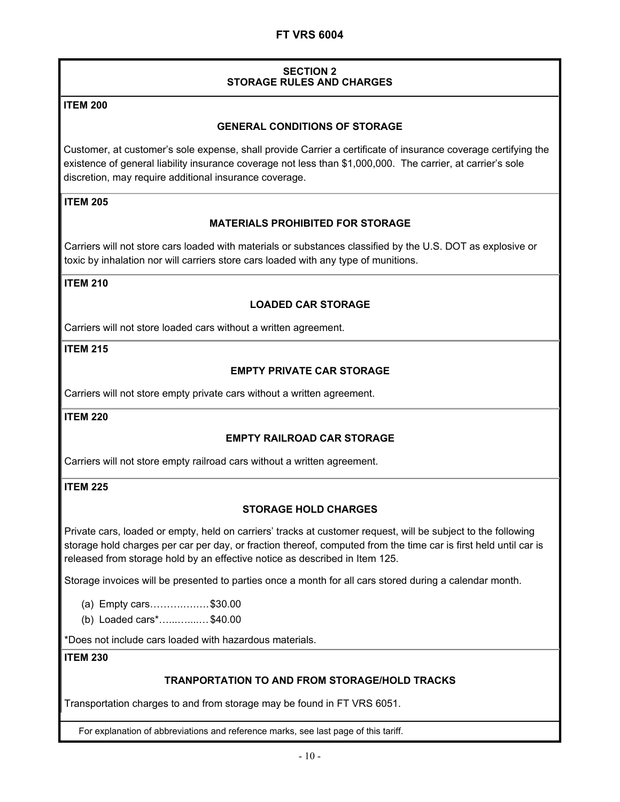#### **SECTION 2 STORAGE RULES AND CHARGES**

#### **ITEM 200**

#### **GENERAL CONDITIONS OF STORAGE**

Customer, at customer's sole expense, shall provide Carrier a certificate of insurance coverage certifying the existence of general liability insurance coverage not less than \$1,000,000. The carrier, at carrier's sole discretion, may require additional insurance coverage.

#### **ITEM 205**

#### **MATERIALS PROHIBITED FOR STORAGE**

Carriers will not store cars loaded with materials or substances classified by the U.S. DOT as explosive or toxic by inhalation nor will carriers store cars loaded with any type of munitions.

#### **ITEM 210**

#### **LOADED CAR STORAGE**

Carriers will not store loaded cars without a written agreement.

#### **ITEM 215**

#### **EMPTY PRIVATE CAR STORAGE**

Carriers will not store empty private cars without a written agreement.

**ITEM 220** 

#### **EMPTY RAILROAD CAR STORAGE**

Carriers will not store empty railroad cars without a written agreement.

#### **ITEM 225**

#### **STORAGE HOLD CHARGES**

Private cars, loaded or empty, held on carriers' tracks at customer request, will be subject to the following storage hold charges per car per day, or fraction thereof, computed from the time car is first held until car is released from storage hold by an effective notice as described in Item 125.

Storage invoices will be presented to parties once a month for all cars stored during a calendar month.

- (a) Empty cars……….….…. \$30.00
- (b) Loaded cars\*…...…....… \$40.00

\*Does not include cars loaded with hazardous materials.

#### **ITEM 230**

#### **TRANPORTATION TO AND FROM STORAGE/HOLD TRACKS**

Transportation charges to and from storage may be found in FT VRS 6051.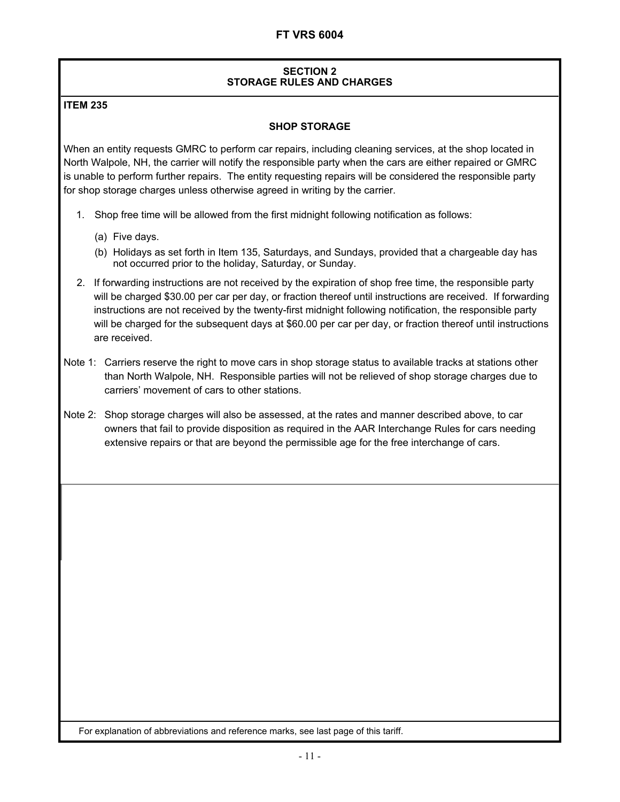#### **SECTION 2 STORAGE RULES AND CHARGES**

#### **ITEM 235**

#### **SHOP STORAGE**

When an entity requests GMRC to perform car repairs, including cleaning services, at the shop located in North Walpole, NH, the carrier will notify the responsible party when the cars are either repaired or GMRC is unable to perform further repairs. The entity requesting repairs will be considered the responsible party for shop storage charges unless otherwise agreed in writing by the carrier.

- 1. Shop free time will be allowed from the first midnight following notification as follows:
	- (a) Five days.
	- (b) Holidays as set forth in Item 135, Saturdays, and Sundays, provided that a chargeable day has not occurred prior to the holiday, Saturday, or Sunday.
- 2. If forwarding instructions are not received by the expiration of shop free time, the responsible party will be charged \$30.00 per car per day, or fraction thereof until instructions are received. If forwarding instructions are not received by the twenty-first midnight following notification, the responsible party will be charged for the subsequent days at \$60.00 per car per day, or fraction thereof until instructions are received.
- Note 1: Carriers reserve the right to move cars in shop storage status to available tracks at stations other than North Walpole, NH. Responsible parties will not be relieved of shop storage charges due to carriers' movement of cars to other stations.
- Note 2: Shop storage charges will also be assessed, at the rates and manner described above, to car owners that fail to provide disposition as required in the AAR Interchange Rules for cars needing extensive repairs or that are beyond the permissible age for the free interchange of cars.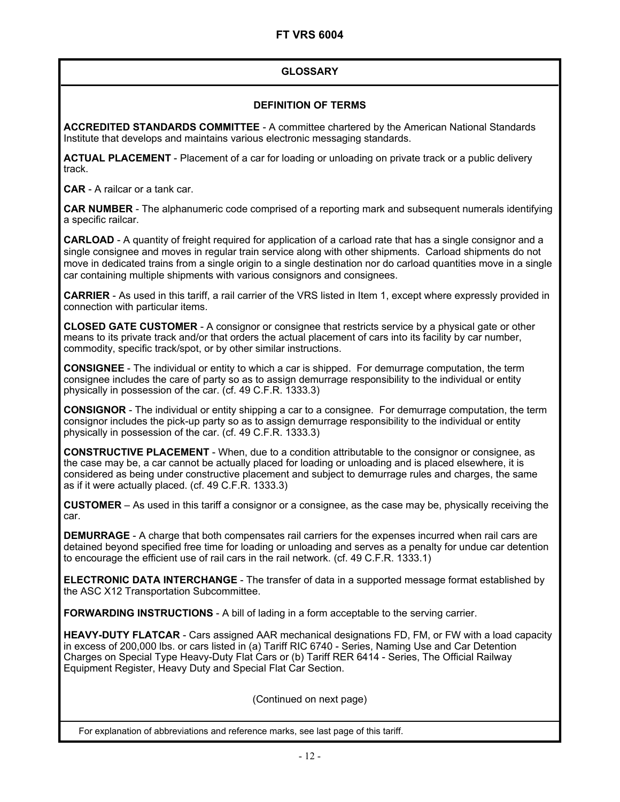#### **GLOSSARY**

#### **DEFINITION OF TERMS**

**ACCREDITED STANDARDS COMMITTEE** - A committee chartered by the American National Standards Institute that develops and maintains various electronic messaging standards.

**ACTUAL PLACEMENT** - Placement of a car for loading or unloading on private track or a public delivery track.

**CAR** - A railcar or a tank car.

**CAR NUMBER** - The alphanumeric code comprised of a reporting mark and subsequent numerals identifying a specific railcar.

**CARLOAD** - A quantity of freight required for application of a carload rate that has a single consignor and a single consignee and moves in regular train service along with other shipments. Carload shipments do not move in dedicated trains from a single origin to a single destination nor do carload quantities move in a single car containing multiple shipments with various consignors and consignees.

**CARRIER** - As used in this tariff, a rail carrier of the VRS listed in Item 1, except where expressly provided in connection with particular items.

**CLOSED GATE CUSTOMER** - A consignor or consignee that restricts service by a physical gate or other means to its private track and/or that orders the actual placement of cars into its facility by car number, commodity, specific track/spot, or by other similar instructions.

**CONSIGNEE** - The individual or entity to which a car is shipped. For demurrage computation, the term consignee includes the care of party so as to assign demurrage responsibility to the individual or entity physically in possession of the car. (cf. 49 C.F.R. 1333.3)

**CONSIGNOR** - The individual or entity shipping a car to a consignee. For demurrage computation, the term consignor includes the pick-up party so as to assign demurrage responsibility to the individual or entity physically in possession of the car. (cf. 49 C.F.R. 1333.3)

**CONSTRUCTIVE PLACEMENT** - When, due to a condition attributable to the consignor or consignee, as the case may be, a car cannot be actually placed for loading or unloading and is placed elsewhere, it is considered as being under constructive placement and subject to demurrage rules and charges, the same as if it were actually placed. (cf. 49 C.F.R. 1333.3)

**CUSTOMER** – As used in this tariff a consignor or a consignee, as the case may be, physically receiving the car.

**DEMURRAGE** - A charge that both compensates rail carriers for the expenses incurred when rail cars are detained beyond specified free time for loading or unloading and serves as a penalty for undue car detention to encourage the efficient use of rail cars in the rail network. (cf. 49 C.F.R. 1333.1)

**ELECTRONIC DATA INTERCHANGE** - The transfer of data in a supported message format established by the ASC X12 Transportation Subcommittee.

**FORWARDING INSTRUCTIONS** - A bill of lading in a form acceptable to the serving carrier.

**HEAVY-DUTY FLATCAR** - Cars assigned AAR mechanical designations FD, FM, or FW with a load capacity in excess of 200,000 lbs. or cars listed in (a) Tariff RIC 6740 - Series, Naming Use and Car Detention Charges on Special Type Heavy-Duty Flat Cars or (b) Tariff RER 6414 - Series, The Official Railway Equipment Register, Heavy Duty and Special Flat Car Section.

(Continued on next page)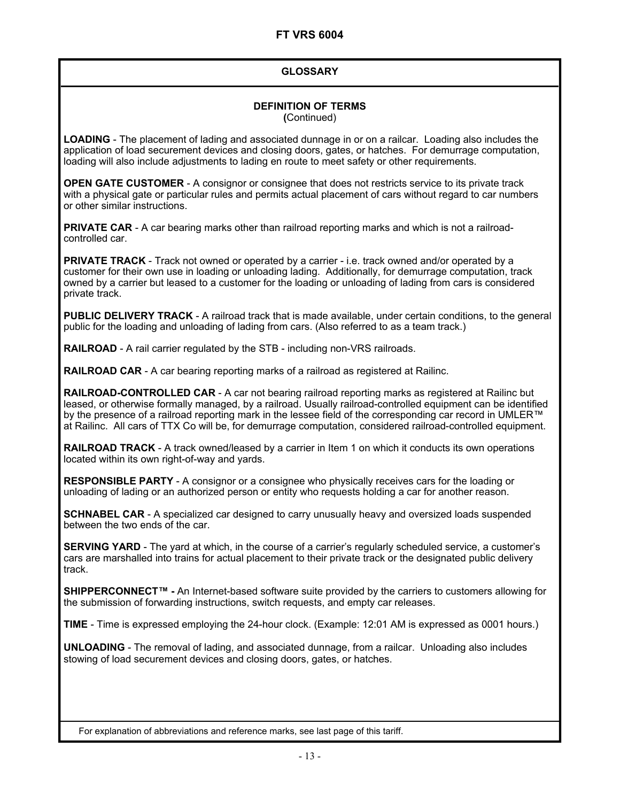#### **GLOSSARY**

## **DEFINITION OF TERMS**

**(**Continued)

**LOADING** - The placement of lading and associated dunnage in or on a railcar. Loading also includes the application of load securement devices and closing doors, gates, or hatches. For demurrage computation, loading will also include adjustments to lading en route to meet safety or other requirements.

**OPEN GATE CUSTOMER** - A consignor or consignee that does not restricts service to its private track with a physical gate or particular rules and permits actual placement of cars without regard to car numbers or other similar instructions.

**PRIVATE CAR** - A car bearing marks other than railroad reporting marks and which is not a railroadcontrolled car.

**PRIVATE TRACK** - Track not owned or operated by a carrier - i.e. track owned and/or operated by a customer for their own use in loading or unloading lading. Additionally, for demurrage computation, track owned by a carrier but leased to a customer for the loading or unloading of lading from cars is considered private track.

**PUBLIC DELIVERY TRACK** - A railroad track that is made available, under certain conditions, to the general public for the loading and unloading of lading from cars. (Also referred to as a team track.)

**RAILROAD** - A rail carrier regulated by the STB - including non-VRS railroads.

**RAILROAD CAR** - A car bearing reporting marks of a railroad as registered at Railinc.

**RAILROAD-CONTROLLED CAR** - A car not bearing railroad reporting marks as registered at Railinc but leased, or otherwise formally managed, by a railroad. Usually railroad-controlled equipment can be identified by the presence of a railroad reporting mark in the lessee field of the corresponding car record in UMLER™ at Railinc. All cars of TTX Co will be, for demurrage computation, considered railroad-controlled equipment.

**RAILROAD TRACK** - A track owned/leased by a carrier in Item 1 on which it conducts its own operations located within its own right-of-way and yards.

**RESPONSIBLE PARTY** - A consignor or a consignee who physically receives cars for the loading or unloading of lading or an authorized person or entity who requests holding a car for another reason.

**SCHNABEL CAR** - A specialized car designed to carry unusually heavy and oversized loads suspended between the two ends of the car.

**SERVING YARD** - The yard at which, in the course of a carrier's regularly scheduled service, a customer's cars are marshalled into trains for actual placement to their private track or the designated public delivery track.

**SHIPPERCONNECT™ -** An Internet-based software suite provided by the carriers to customers allowing for the submission of forwarding instructions, switch requests, and empty car releases.

**TIME** - Time is expressed employing the 24-hour clock. (Example: 12:01 AM is expressed as 0001 hours.)

**UNLOADING** - The removal of lading, and associated dunnage, from a railcar. Unloading also includes stowing of load securement devices and closing doors, gates, or hatches.